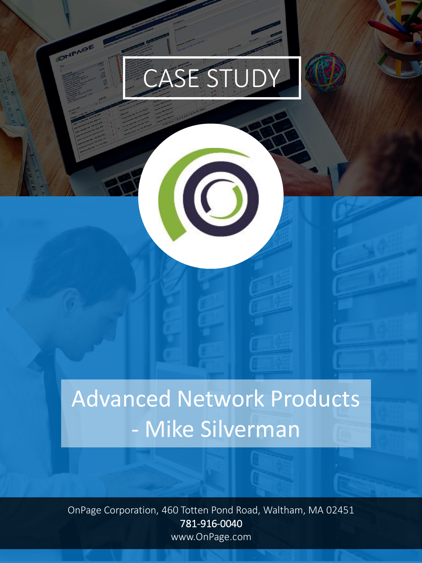# CASE STUDY

 $\odot$ 

ONPAGE

## Advanced Network Products - Mike Silverman

OnPage Corporation, 460 Totten Pond Road, Waltham, MA 02451 781-916-0040 www.OnPage.com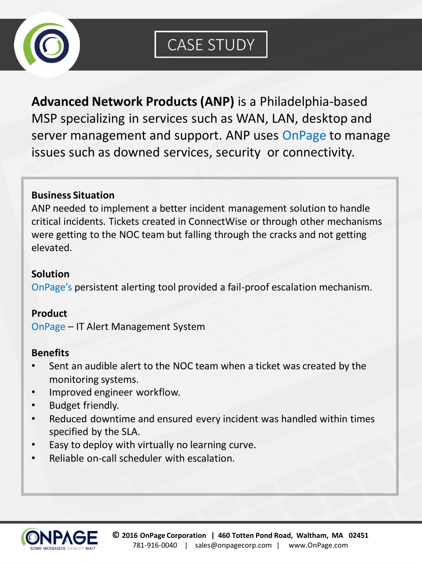

**Advanced Network Products (ANP)** is a Philadelphia-based MSP specializing in services such as WAN, LAN, desktop and server management and support. ANP uses OnPage to manage issues such as downed services, security or connectivity.

#### **Business Situation**

ANP needed to implement a better incident management solution to handle critical incidents. Tickets created in ConnectWise or through other mechanisms were getting to the NOC team but falling through the cracks and not getting elevated.

#### **Solution**

OnPage's persistent alerting tool provided a fail-proof escalation mechanism.

#### **Product**

OnPage – IT Alert Management System

#### **Benefits**

- Sent an audible alert to the NOC team when a ticket was created by the monitoring systems.
- Improved engineer workflow.
- Budget friendly.
- Reduced downtime and ensured every incident was handled within times specified by the SLA.
- Easy to deploy with virtually no learning curve.
- Reliable on-call scheduler with escalation.

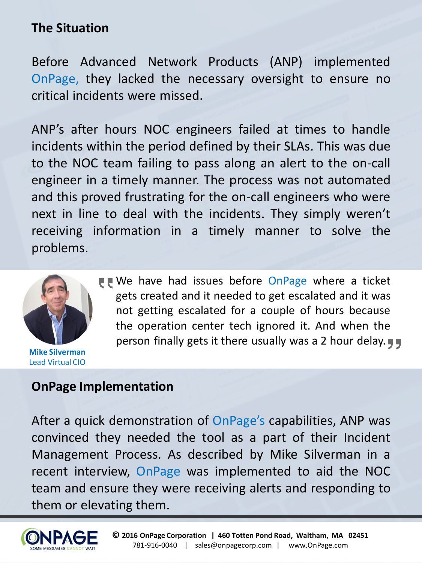## **The Situation**

Before Advanced Network Products (ANP) implemented OnPage, they lacked the necessary oversight to ensure no critical incidents were missed.

ANP's after hours NOC engineers failed at times to handle incidents within the period defined by their SLAs. This was due to the NOC team failing to pass along an alert to the on-call engineer in a timely manner. The process was not automated and this proved frustrating for the on-call engineers who were next in line to deal with the incidents. They simply weren't receiving information in a timely manner to solve the problems.



**Mike Silverman** Lead Virtual CIO

■ We have had issues before OnPage where a ticket gets created and it needed to get escalated and it was not getting escalated for a couple of hours because the operation center tech ignored it. And when the person finally gets it there usually was a 2 hour delay.

### **OnPage Implementation**

After a quick demonstration of OnPage's capabilities, ANP was convinced they needed the tool as a part of their Incident Management Process. As described by Mike Silverman in a recent interview, OnPage was implemented to aid the NOC team and ensure they were receiving alerts and responding to them or elevating them.

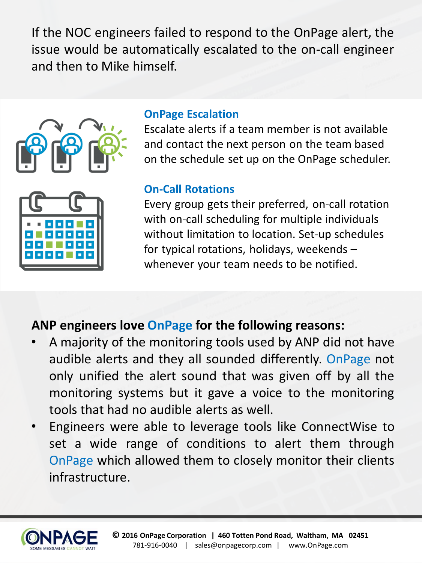If the NOC engineers failed to respond to the OnPage alert, the issue would be automatically escalated to the on-call engineer and then to Mike himself.





#### **OnPage Escalation**

Escalate alerts if a team member is not available and contact the next person on the team based on the schedule set up on the OnPage scheduler.

## **Escalate alerts in a team member is not available and contact the next is not available and contact the next is not available and contact the next is not available and contact the next is not available and contact the nex**

Every group gets their preferred, on-call rotation with on-call scheduling for multiple individuals without limitation to location. Set-up schedules for typical rotations, holidays, weekends – whenever your team needs to be notified.

## **ANP engineers love OnPage for the following reasons:**

- A majority of the monitoring tools used by ANP did not have audible alerts and they all sounded differently. OnPage not only unified the alert sound that was given off by all the monitoring systems but it gave a voice to the monitoring tools that had no audible alerts as well.
- Engineers were able to leverage tools like ConnectWise to set a wide range of conditions to alert them through OnPage which allowed them to closely monitor their clients infrastructure.